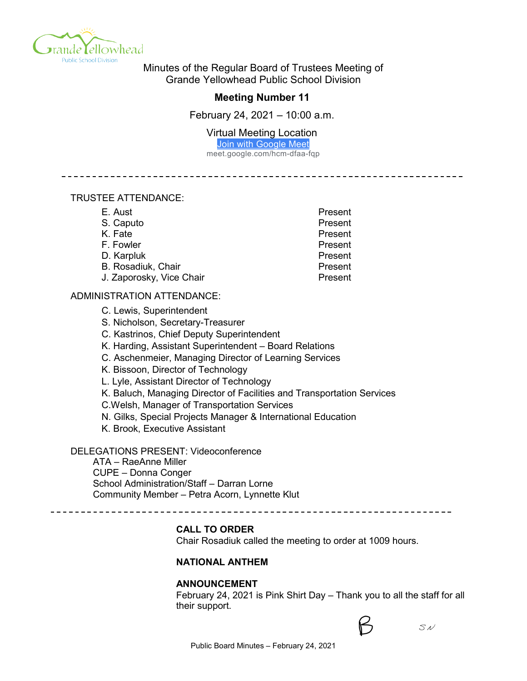

Minutes of the Regular Board of Trustees Meeting of Grande Yellowhead Public School Division

# **Meeting Number 11**

February 24, 2021 – 10:00 a.m.

Virtual Meeting Location

Join with Google Meet

meet.google.com/hcm-dfaa-fqp

--------------------------

### TRUSTEE ATTENDANCE:

| E. Aust                  | Present |
|--------------------------|---------|
| S. Caputo                | Present |
| K. Fate                  | Present |
| F. Fowler                | Present |
| D. Karpluk               | Present |
| B. Rosadiuk, Chair       | Present |
| J. Zaporosky, Vice Chair | Present |

### ADMINISTRATION ATTENDANCE:

C. Lewis, Superintendent

S. Nicholson, Secretary-Treasurer

C. Kastrinos, Chief Deputy Superintendent

K. Harding, Assistant Superintendent – Board Relations

C. Aschenmeier, Managing Director of Learning Services

K. Bissoon, Director of Technology

L. Lyle, Assistant Director of Technology

K. Baluch, Managing Director of Facilities and Transportation Services

C.Welsh, Manager of Transportation Services

N. Gilks, Special Projects Manager & International Education

K. Brook, Executive Assistant

DELEGATIONS PRESENT: Videoconference

ATA – RaeAnne Miller CUPE – Donna Conger School Administration/Staff – Darran Lorne Community Member – Petra Acorn, Lynnette Klut

------------------------

# **CALL TO ORDER**

Chair Rosadiuk called the meeting to order at 1009 hours.

### **NATIONAL ANTHEM**

### **ANNOUNCEMENT**

February 24, 2021 is Pink Shirt Day – Thank you to all the staff for all their support.



 $SN$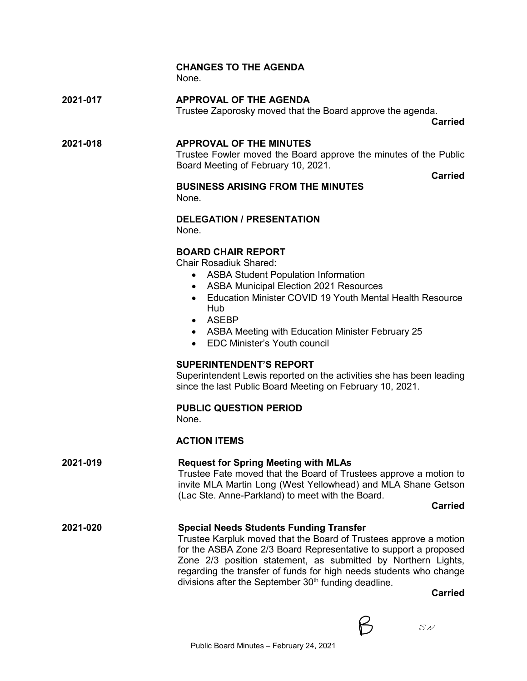# **CHANGES TO THE AGENDA**

None.

**2021-017 APPROVAL OF THE AGENDA** Trustee Zaporosky moved that the Board approve the agenda.

**Carried**

# **2021-018 APPROVAL OF THE MINUTES**

Trustee Fowler moved the Board approve the minutes of the Public Board Meeting of February 10, 2021.

**Carried**

#### **BUSINESS ARISING FROM THE MINUTES** None.

**DELEGATION / PRESENTATION**

None.

# **BOARD CHAIR REPORT**

Chair Rosadiuk Shared:

- ASBA Student Population Information
- ASBA Municipal Election 2021 Resources
- Education Minister COVID 19 Youth Mental Health Resource Hub
- ASEBP
- ASBA Meeting with Education Minister February 25
- EDC Minister's Youth council

# **SUPERINTENDENT'S REPORT**

Superintendent Lewis reported on the activities she has been leading since the last Public Board Meeting on February 10, 2021.

# **PUBLIC QUESTION PERIOD**

None.

# **ACTION ITEMS**

# **2021-019 Request for Spring Meeting with MLAs**

Trustee Fate moved that the Board of Trustees approve a motion to invite MLA Martin Long (West Yellowhead) and MLA Shane Getson (Lac Ste. Anne-Parkland) to meet with the Board.

**Carried**

# **2021-020 Special Needs Students Funding Transfer**

Trustee Karpluk moved that the Board of Trustees approve a motion for the ASBA Zone 2/3 Board Representative to support a proposed Zone 2/3 position statement, as submitted by Northern Lights, regarding the transfer of funds for high needs students who change divisions after the September  $30<sup>th</sup>$  funding deadline.

**Carried**

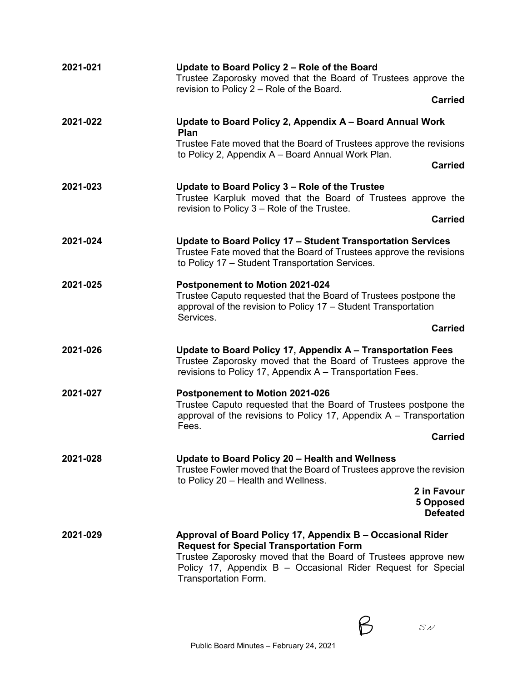| 2021-021 | Update to Board Policy 2 - Role of the Board<br>Trustee Zaporosky moved that the Board of Trustees approve the                                                                                                                                                         |
|----------|------------------------------------------------------------------------------------------------------------------------------------------------------------------------------------------------------------------------------------------------------------------------|
|          | revision to Policy 2 - Role of the Board.<br><b>Carried</b>                                                                                                                                                                                                            |
| 2021-022 | Update to Board Policy 2, Appendix A - Board Annual Work<br><b>Plan</b>                                                                                                                                                                                                |
|          | Trustee Fate moved that the Board of Trustees approve the revisions<br>to Policy 2, Appendix A - Board Annual Work Plan.                                                                                                                                               |
|          | <b>Carried</b>                                                                                                                                                                                                                                                         |
| 2021-023 | Update to Board Policy 3 - Role of the Trustee<br>Trustee Karpluk moved that the Board of Trustees approve the                                                                                                                                                         |
|          | revision to Policy 3 – Role of the Trustee.<br><b>Carried</b>                                                                                                                                                                                                          |
| 2021-024 | Update to Board Policy 17 - Student Transportation Services<br>Trustee Fate moved that the Board of Trustees approve the revisions<br>to Policy 17 - Student Transportation Services.                                                                                  |
| 2021-025 | Postponement to Motion 2021-024<br>Trustee Caputo requested that the Board of Trustees postpone the<br>approval of the revision to Policy 17 - Student Transportation<br>Services.                                                                                     |
|          | <b>Carried</b>                                                                                                                                                                                                                                                         |
| 2021-026 | Update to Board Policy 17, Appendix A - Transportation Fees<br>Trustee Zaporosky moved that the Board of Trustees approve the<br>revisions to Policy 17, Appendix A - Transportation Fees.                                                                             |
| 2021-027 | <b>Postponement to Motion 2021-026</b><br>Trustee Caputo requested that the Board of Trustees postpone the<br>approval of the revisions to Policy 17, Appendix $A - T$ ransportation<br>Fees.                                                                          |
|          | <b>Carried</b>                                                                                                                                                                                                                                                         |
| 2021-028 | Update to Board Policy 20 - Health and Wellness<br>Trustee Fowler moved that the Board of Trustees approve the revision<br>to Policy 20 - Health and Wellness.                                                                                                         |
|          | 2 in Favour<br>5 Opposed<br><b>Defeated</b>                                                                                                                                                                                                                            |
| 2021-029 | Approval of Board Policy 17, Appendix B - Occasional Rider<br><b>Request for Special Transportation Form</b><br>Trustee Zaporosky moved that the Board of Trustees approve new<br>Policy 17, Appendix B - Occasional Rider Request for Special<br>Transportation Form. |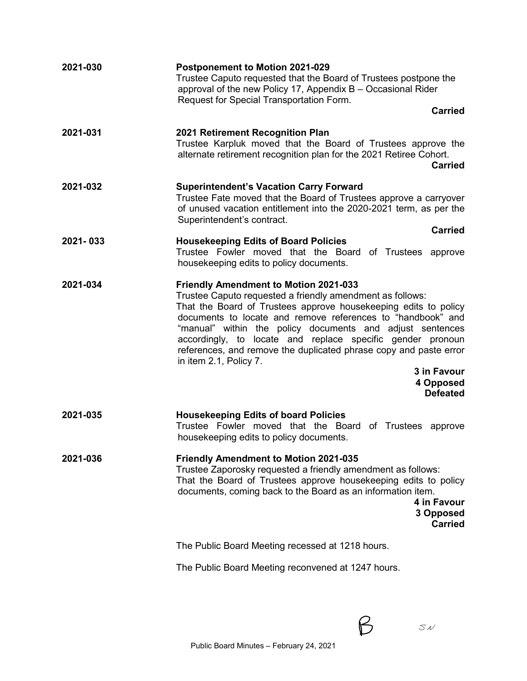| 2021-030 | Postponement to Motion 2021-029<br>Trustee Caputo requested that the Board of Trustees postpone the<br>approval of the new Policy 17, Appendix B - Occasional Rider<br>Request for Special Transportation Form.                                                                                                                                                                                                                                                                                                      |
|----------|----------------------------------------------------------------------------------------------------------------------------------------------------------------------------------------------------------------------------------------------------------------------------------------------------------------------------------------------------------------------------------------------------------------------------------------------------------------------------------------------------------------------|
|          | <b>Carried</b>                                                                                                                                                                                                                                                                                                                                                                                                                                                                                                       |
| 2021-031 | 2021 Retirement Recognition Plan<br>Trustee Karpluk moved that the Board of Trustees approve the<br>alternate retirement recognition plan for the 2021 Retiree Cohort.<br><b>Carried</b>                                                                                                                                                                                                                                                                                                                             |
| 2021-032 | <b>Superintendent's Vacation Carry Forward</b><br>Trustee Fate moved that the Board of Trustees approve a carryover<br>of unused vacation entitlement into the 2020-2021 term, as per the<br>Superintendent's contract.<br><b>Carried</b>                                                                                                                                                                                                                                                                            |
| 2021-033 | <b>Housekeeping Edits of Board Policies</b><br>Trustee Fowler moved that the Board<br>of Trustees approve<br>housekeeping edits to policy documents.                                                                                                                                                                                                                                                                                                                                                                 |
| 2021-034 | <b>Friendly Amendment to Motion 2021-033</b><br>Trustee Caputo requested a friendly amendment as follows:<br>That the Board of Trustees approve housekeeping edits to policy<br>documents to locate and remove references to "handbook" and<br>"manual" within the policy documents and adjust sentences<br>accordingly, to locate and replace specific gender pronoun<br>references, and remove the duplicated phrase copy and paste error<br>in item 2.1, Policy 7.<br>3 in Favour<br>4 Opposed<br><b>Defeated</b> |
| 2021-035 | <b>Housekeeping Edits of board Policies</b><br>Trustee Fowler moved that the Board<br>of Trustees approve<br>housekeeping edits to policy documents.                                                                                                                                                                                                                                                                                                                                                                 |
| 2021-036 | <b>Friendly Amendment to Motion 2021-035</b><br>Trustee Zaporosky requested a friendly amendment as follows:<br>That the Board of Trustees approve housekeeping edits to policy<br>documents, coming back to the Board as an information item.<br>4 in Favour<br>3 Opposed<br><b>Carried</b>                                                                                                                                                                                                                         |
|          | The Public Board Meeting recessed at 1218 hours.                                                                                                                                                                                                                                                                                                                                                                                                                                                                     |
|          | The Public Board Meeting reconvened at 1247 hours.                                                                                                                                                                                                                                                                                                                                                                                                                                                                   |
|          |                                                                                                                                                                                                                                                                                                                                                                                                                                                                                                                      |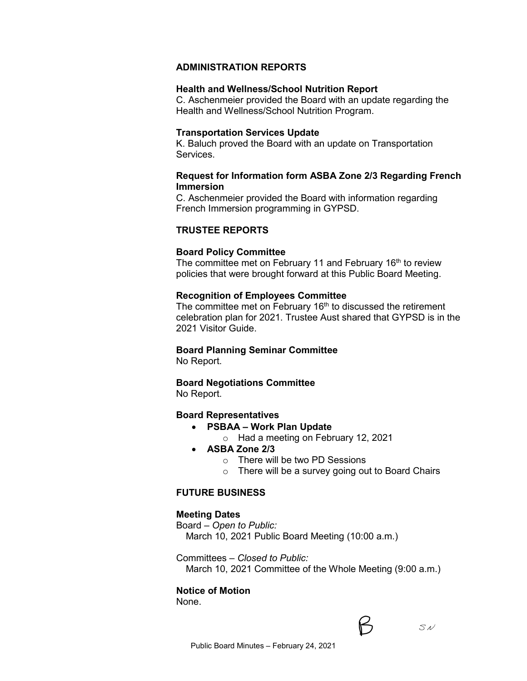# **ADMINISTRATION REPORTS**

#### **Health and Wellness/School Nutrition Report**

C. Aschenmeier provided the Board with an update regarding the Health and Wellness/School Nutrition Program.

#### **Transportation Services Update**

K. Baluch proved the Board with an update on Transportation Services.

### **Request for Information form ASBA Zone 2/3 Regarding French Immersion**

C. Aschenmeier provided the Board with information regarding French Immersion programming in GYPSD.

### **TRUSTEE REPORTS**

#### **Board Policy Committee**

The committee met on February 11 and February 16<sup>th</sup> to review policies that were brought forward at this Public Board Meeting.

#### **Recognition of Employees Committee**

The committee met on February  $16<sup>th</sup>$  to discussed the retirement celebration plan for 2021. Trustee Aust shared that GYPSD is in the 2021 Visitor Guide.

### **Board Planning Seminar Committee**

No Report.

## **Board Negotiations Committee**

No Report.

#### **Board Representatives**

- **PSBAA – Work Plan Update**
	- o Had a meeting on February 12, 2021
- **ASBA Zone 2/3**
	- o There will be two PD Sessions
	- o There will be a survey going out to Board Chairs

### **FUTURE BUSINESS**

#### **Meeting Dates**

Board – *Open to Public:* March 10, 2021 Public Board Meeting (10:00 a.m.)

Committees – *Closed to Public:*

March 10, 2021 Committee of the Whole Meeting (9:00 a.m.)

### **Notice of Motion**

None.



 $S$ N